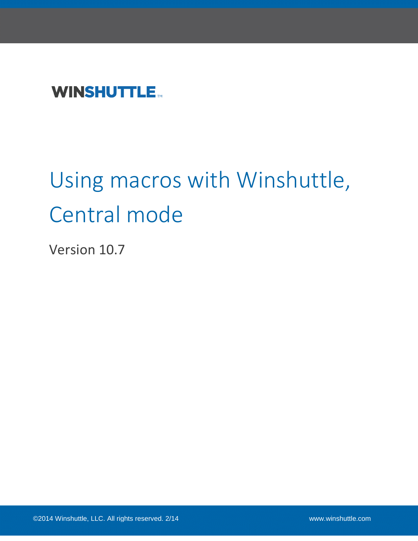## **WINSHUTTLE**

# Using macros with Winshuttle, Central mode

Version 10.7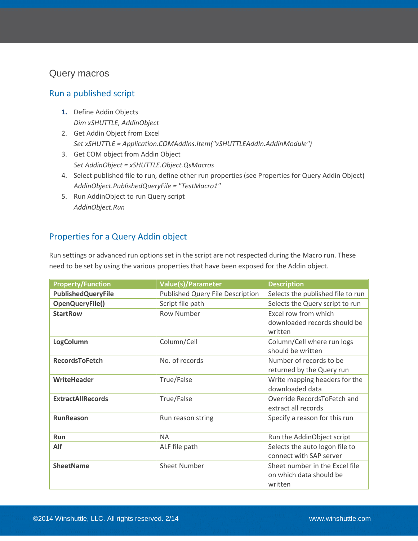#### <span id="page-2-0"></span>Query macros

#### <span id="page-2-1"></span>Run a published script

- **1.** Define Addin Objects *Dim xSHUTTLE, AddinObject*
- 2. Get Addin Object from Excel *Set xSHUTTLE = Application.COMAddIns.Item("xSHUTTLEAddIn.AddinModule")*
- 3. Get COM object from Addin Object *Set AddinObject = xSHUTTLE.Object.QsMacros*
- 4. Select published file to run, define other run properties (see Properties for Query Addin Object) *AddinObject.PublishedQueryFile = "TestMacro1"*
- 5. Run AddinObject to run Query script *AddinObject.Run*

#### <span id="page-2-2"></span>Properties for a Query Addin object

Run settings or advanced run options set in the script are not respected during the Macro run. These need to be set by using the various properties that have been exposed for the Addin object.

| <b>Property/Function</b>  | <b>Value(s)/Parameter</b>        | <b>Description</b>                |
|---------------------------|----------------------------------|-----------------------------------|
| <b>PublishedQueryFile</b> | Published Query File Description | Selects the published file to run |
| OpenQueryFile()           | Script file path                 | Selects the Query script to run   |
| <b>StartRow</b>           | <b>Row Number</b>                | Excel row from which              |
|                           |                                  | downloaded records should be      |
|                           |                                  | written                           |
| LogColumn                 | Column/Cell                      | Column/Cell where run logs        |
|                           |                                  | should be written                 |
| <b>RecordsToFetch</b>     | No. of records                   | Number of records to be           |
|                           |                                  | returned by the Query run         |
| WriteHeader               | True/False                       | Write mapping headers for the     |
|                           |                                  | downloaded data                   |
| <b>ExtractAllRecords</b>  | True/False                       | Override RecordsToFetch and       |
|                           |                                  | extract all records               |
| <b>RunReason</b>          | Run reason string                | Specify a reason for this run     |
|                           |                                  |                                   |
| <b>Run</b>                | <b>NA</b>                        | Run the AddinObject script        |
| <b>Alf</b>                | ALF file path                    | Selects the auto logon file to    |
|                           |                                  | connect with SAP server           |
| <b>SheetName</b>          | <b>Sheet Number</b>              | Sheet number in the Excel file    |
|                           |                                  | on which data should be           |
|                           |                                  | written                           |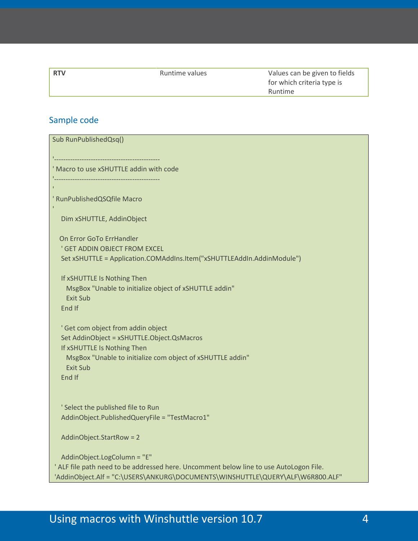| <b>RTV</b> | Runtime values | Values can be given to fields |
|------------|----------------|-------------------------------|
|            |                | for which criteria type is    |
|            |                | Runtime                       |

## <span id="page-3-0"></span>Sample code

| Sub RunPublishedQsq()                                                                                                                                                                                      |
|------------------------------------------------------------------------------------------------------------------------------------------------------------------------------------------------------------|
|                                                                                                                                                                                                            |
| ' Macro to use xSHUTTLE addin with code                                                                                                                                                                    |
|                                                                                                                                                                                                            |
| ' RunPublishedQSQfile Macro                                                                                                                                                                                |
| Dim xSHUTTLE, AddinObject                                                                                                                                                                                  |
| On Error GoTo ErrHandler<br>' GET ADDIN OBJECT FROM EXCEL<br>Set xSHUTTLE = Application.COMAddIns.Item("xSHUTTLEAddIn.AddinModule")                                                                        |
| If xSHUTTLE Is Nothing Then<br>MsgBox "Unable to initialize object of xSHUTTLE addin"<br><b>Exit Sub</b><br>End If                                                                                         |
| ' Get com object from addin object<br>Set AddinObject = xSHUTTLE.Object.QsMacros<br>If xSHUTTLE Is Nothing Then<br>MsgBox "Unable to initialize com object of xSHUTTLE addin"<br><b>Exit Sub</b><br>End If |
| ' Select the published file to Run<br>AddinObject.PublishedQueryFile = "TestMacro1"                                                                                                                        |
| AddinObject.StartRow = 2                                                                                                                                                                                   |
| AddinObject.LogColumn = "E"<br>' ALF file path need to be addressed here. Uncomment below line to use AutoLogon File.<br>'AddinObject.Alf = "C:\USERS\ANKURG\DOCUMENTS\WINSHUTTLE\QUERY\ALF\W6R800.ALF"    |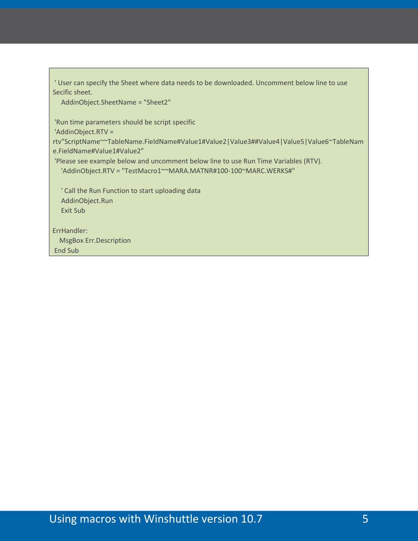' User can specify the Sheet where data needs to be downloaded. Uncomment below line to use Secific sheet.

AddinObject.SheetName = "Sheet2"

'Run time parameters should be script specific

'AddinObject.RTV =

rtv"ScriptName~~TableName.FieldName#Value1#Value2|Value3##Value4|Value5|Value6~TableNam e.FieldName#Value1#Value2"

'Please see example below and uncomment below line to use Run Time Variables (RTV). 'AddinObject.RTV = "TestMacro1~~MARA.MATNR#100-100~MARC.WERKS#"

 ' Call the Run Function to start uploading data AddinObject.Run Exit Sub

ErrHandler: MsgBox Err.Description End Sub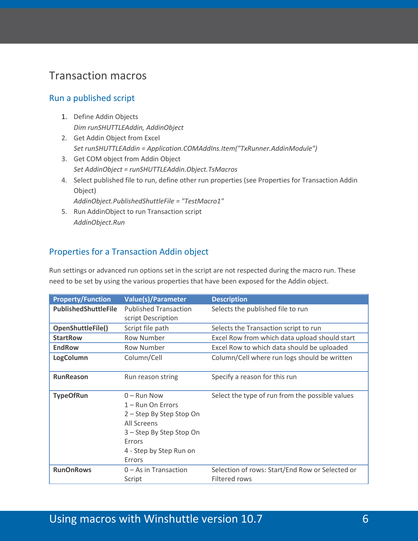## <span id="page-5-0"></span>Transaction macros

#### <span id="page-5-1"></span>Run a published script

- 1. Define Addin Objects *Dim runSHUTTLEAddin, AddinObject*
- 2. Get Addin Object from Excel *Set runSHUTTLEAddin = Application.COMAddIns.Item("TxRunner.AddinModule")*
- 3. Get COM object from Addin Object *Set AddinObject = runSHUTTLEAddin.Object.TsMacros*
- 4. Select published file to run, define other run properties (see Properties for Transaction Addin Object)

*AddinObject.PublishedShuttleFile = "TestMacro1"*

5. Run AddinObject to run Transaction script *AddinObject.Run*

#### <span id="page-5-2"></span>Properties for a Transaction Addin object

Run settings or advanced run options set in the script are not respected during the macro run. These need to be set by using the various properties that have been exposed for the Addin object.

| <b>Property/Function</b>    | <b>Value(s)/Parameter</b>                                                                                                                                  | <b>Description</b>                                               |
|-----------------------------|------------------------------------------------------------------------------------------------------------------------------------------------------------|------------------------------------------------------------------|
| <b>PublishedShuttleFile</b> | <b>Published Transaction</b>                                                                                                                               | Selects the published file to run                                |
|                             | script Description                                                                                                                                         |                                                                  |
| OpenShuttleFile()           | Script file path                                                                                                                                           | Selects the Transaction script to run                            |
| <b>StartRow</b>             | Row Number                                                                                                                                                 | Excel Row from which data upload should start                    |
| <b>EndRow</b>               | Row Number                                                                                                                                                 | Excel Row to which data should be uploaded                       |
| LogColumn                   | Column/Cell                                                                                                                                                | Column/Cell where run logs should be written                     |
| <b>RunReason</b>            | Run reason string                                                                                                                                          | Specify a reason for this run                                    |
| <b>TypeOfRun</b>            | $0 -$ Run Now<br>$1 -$ Run On Errors<br>2 - Step By Step Stop On<br>All Screens<br>3 - Step By Step Stop On<br>Errors<br>4 - Step by Step Run on<br>Errors | Select the type of run from the possible values                  |
| <b>RunOnRows</b>            | $0 - As$ in Transaction<br>Script                                                                                                                          | Selection of rows: Start/End Row or Selected or<br>Filtered rows |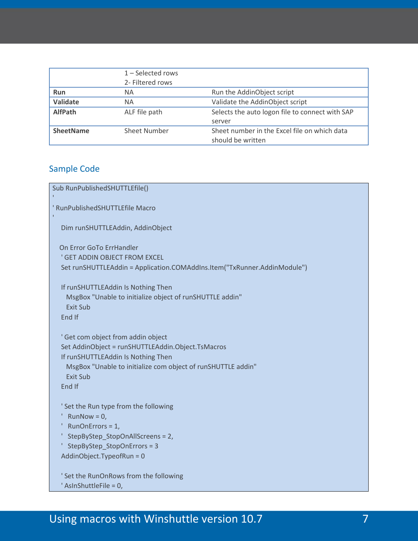|                  | $1 -$ Selected rows<br>2- Filtered rows |                                                 |
|------------------|-----------------------------------------|-------------------------------------------------|
| <b>Run</b>       | ΝA                                      | Run the AddinObject script                      |
| Validate         | ΝA                                      | Validate the AddinObject script                 |
| <b>AlfPath</b>   | ALF file path                           | Selects the auto logon file to connect with SAP |
|                  |                                         | server                                          |
| <b>SheetName</b> | Sheet Number                            | Sheet number in the Excel file on which data    |
|                  |                                         | should be written                               |

#### <span id="page-6-0"></span>Sample Code

```
Sub RunPublishedSHUTTLEfile()
' RunPublishedSHUTTLEfile Macro
    Dim runSHUTTLEAddin, AddinObject
   On Error GoTo ErrHandler
   ' GET ADDIN OBJECT FROM EXCEL
   Set runSHUTTLEAddin = Application.COMAddIns.Item("TxRunner.AddinModule")
   If runSHUTTLEAddin Is Nothing Then
     MsgBox "Unable to initialize object of runSHUTTLE addin"
     Exit Sub
   End If
   ' Get com object from addin object
   Set AddinObject = runSHUTTLEAddin.Object.TsMacros
   If runSHUTTLEAddin Is Nothing Then
     MsgBox "Unable to initialize com object of runSHUTTLE addin"
     Exit Sub
   End If
   ' Set the Run type from the following
  ' RunNow = 0,
   ' RunOnErrors = 1,
    ' StepByStep_StopOnAllScreens = 2,
    ' StepByStep_StopOnErrors = 3
   AddinObject.TypeofRun = 0
    ' Set the RunOnRows from the following
    ' AsInShuttleFile = 0,
```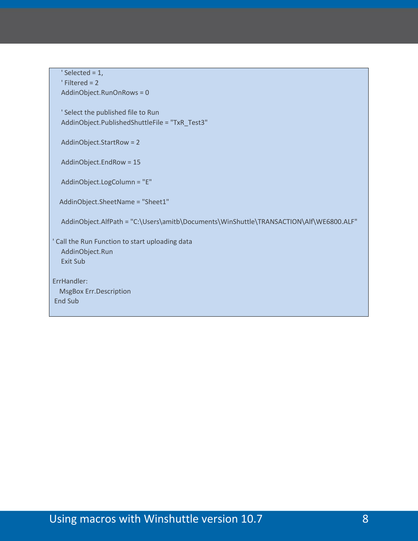$'$  Selected = 1, ' Filtered = 2 AddinObject.RunOnRows = 0

 ' Select the published file to Run AddinObject.PublishedShuttleFile = "TxR\_Test3"

AddinObject.StartRow = 2

AddinObject.EndRow = 15

AddinObject.LogColumn = "E"

AddinObject.SheetName = "Sheet1"

AddinObject.AlfPath = "C:\Users\amitb\Documents\WinShuttle\TRANSACTION\Alf\WE6800.ALF"

' Call the Run Function to start uploading data AddinObject.Run Exit Sub

<span id="page-7-0"></span>ErrHandler: MsgBox Err.Description End Sub